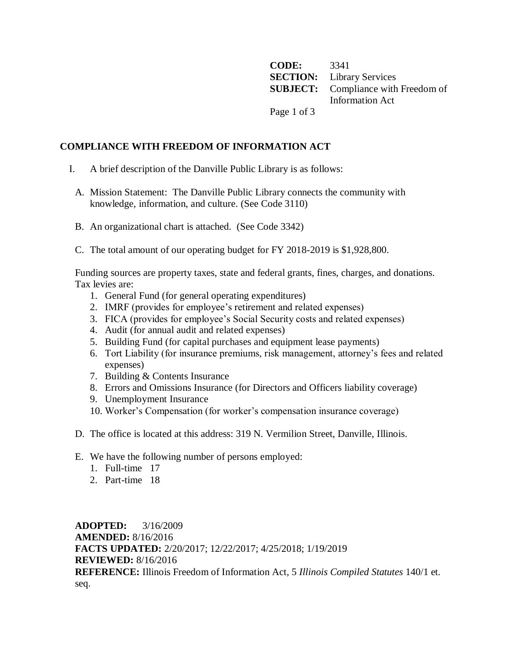**CODE:** 3341 **SECTION:** Library Services **SUBJECT:** Compliance with Freedom of Information Act Page 1 of 3

## **COMPLIANCE WITH FREEDOM OF INFORMATION ACT**

- I. A brief description of the Danville Public Library is as follows:
	- A. Mission Statement: The Danville Public Library connects the community with knowledge, information, and culture. (See Code 3110)
	- B. An organizational chart is attached. (See Code 3342)
	- C. The total amount of our operating budget for FY 2018-2019 is \$1,928,800.

Funding sources are property taxes, state and federal grants, fines, charges, and donations. Tax levies are:

- 1. General Fund (for general operating expenditures)
- 2. IMRF (provides for employee's retirement and related expenses)
- 3. FICA (provides for employee's Social Security costs and related expenses)
- 4. Audit (for annual audit and related expenses)
- 5. Building Fund (for capital purchases and equipment lease payments)
- 6. Tort Liability (for insurance premiums, risk management, attorney's fees and related expenses)
- 7. Building & Contents Insurance
- 8. Errors and Omissions Insurance (for Directors and Officers liability coverage)
- 9. Unemployment Insurance
- 10. Worker's Compensation (for worker's compensation insurance coverage)
- D. The office is located at this address: 319 N. Vermilion Street, Danville, Illinois.
- E. We have the following number of persons employed:
	- 1. Full-time 17
	- 2. Part-time 18

**ADOPTED:** 3/16/2009 **AMENDED:** 8/16/2016 **FACTS UPDATED:** 2/20/2017; 12/22/2017; 4/25/2018; 1/19/2019 **REVIEWED:** 8/16/2016 **REFERENCE:** Illinois Freedom of Information Act, 5 *Illinois Compiled Statutes* 140/1 et. seq.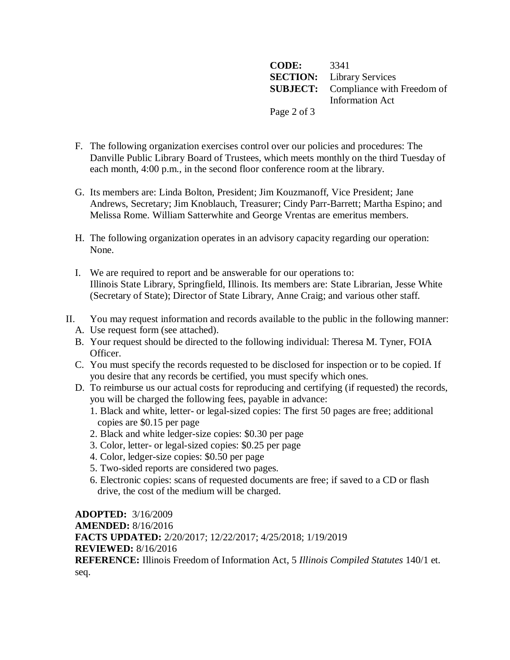**CODE:** 3341 **SECTION:** Library Services **SUBJECT:** Compliance with Freedom of Information Act Page 2 of 3

- F. The following organization exercises control over our policies and procedures: The Danville Public Library Board of Trustees, which meets monthly on the third Tuesday of each month, 4:00 p.m., in the second floor conference room at the library.
- G. Its members are: Linda Bolton, President; Jim Kouzmanoff, Vice President; Jane Andrews, Secretary; Jim Knoblauch, Treasurer; Cindy Parr-Barrett; Martha Espino; and Melissa Rome. William Satterwhite and George Vrentas are emeritus members.
- H. The following organization operates in an advisory capacity regarding our operation: None.
- I. We are required to report and be answerable for our operations to: Illinois State Library, Springfield, Illinois. Its members are: State Librarian, Jesse White (Secretary of State); Director of State Library, Anne Craig; and various other staff.
- II. You may request information and records available to the public in the following manner:
	- A. Use request form (see attached).
	- B. Your request should be directed to the following individual: Theresa M. Tyner, FOIA Officer.
	- C. You must specify the records requested to be disclosed for inspection or to be copied. If you desire that any records be certified, you must specify which ones.
	- D. To reimburse us our actual costs for reproducing and certifying (if requested) the records, you will be charged the following fees, payable in advance:
		- 1. Black and white, letter- or legal-sized copies: The first 50 pages are free; additional copies are \$0.15 per page
		- 2. Black and white ledger-size copies: \$0.30 per page
		- 3. Color, letter- or legal-sized copies: \$0.25 per page
		- 4. Color, ledger-size copies: \$0.50 per page
		- 5. Two-sided reports are considered two pages.
		- 6. Electronic copies: scans of requested documents are free; if saved to a CD or flash drive, the cost of the medium will be charged.

**ADOPTED:** 3/16/2009 **AMENDED:** 8/16/2016 **FACTS UPDATED:** 2/20/2017; 12/22/2017; 4/25/2018; 1/19/2019 **REVIEWED:** 8/16/2016 **REFERENCE:** Illinois Freedom of Information Act, 5 *Illinois Compiled Statutes* 140/1 et. seq.